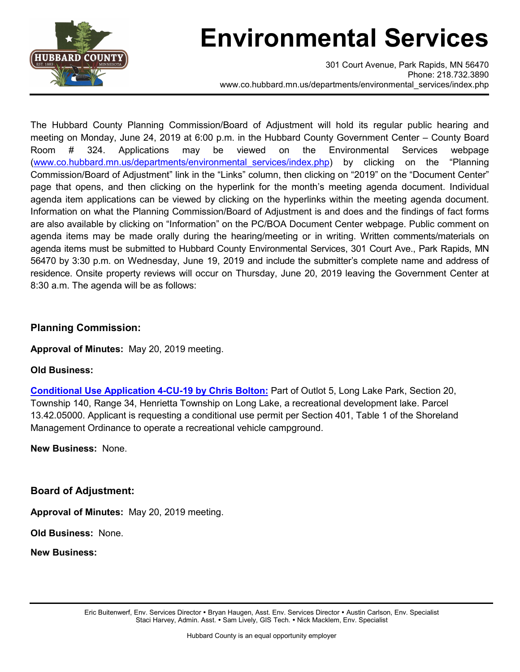

## **Environmental Services**

301 Court Avenue, Park Rapids, MN 56470 Phone: 218.732.3890 www.co.hubbard.mn.us/departments/environmental\_services/index.php

The Hubbard County Planning Commission/Board of Adjustment will hold its regular public hearing and meeting on Monday, June 24, 2019 at 6:00 p.m. in the Hubbard County Government Center – County Board Room # 324. Applications may be viewed on the Environmental Services webpage [\(www.co.hubbard.mn.us/departments/environmental\\_services/index.php\)](http://www.co.hubbard.mn.us/departments/environmental_services/index.php) by clicking on the "Planning Commission/Board of Adjustment" link in the "Links" column, then clicking on "2019" on the "Document Center" page that opens, and then clicking on the hyperlink for the month's meeting agenda document. Individual agenda item applications can be viewed by clicking on the hyperlinks within the meeting agenda document. Information on what the Planning Commission/Board of Adjustment is and does and the findings of fact forms are also available by clicking on "Information" on the PC/BOA Document Center webpage. Public comment on agenda items may be made orally during the hearing/meeting or in writing. Written comments/materials on agenda items must be submitted to Hubbard County Environmental Services, 301 Court Ave., Park Rapids, MN 56470 by 3:30 p.m. on Wednesday, June 19, 2019 and include the submitter's complete name and address of residence. Onsite property reviews will occur on Thursday, June 20, 2019 leaving the Government Center at 8:30 a.m. The agenda will be as follows:

## **Planning Commission:**

**Approval of Minutes:** May 20, 2019 meeting.

## **Old Business:**

**[Conditional Use Application 4-CU-19 by Chris Bolton:](https://gis.co.hubbard.mn.us/HubbardCountyAXDocViewer/doclist.aspx?appname=ENVSVCS-PARCEL_RECORDS&fields=PARCEL%20NUMBER&values=13.42.05000&columnfilter=COUNTYUSERS)** Part of Outlot 5, Long Lake Park, Section 20, Township 140, Range 34, Henrietta Township on Long Lake, a recreational development lake. Parcel 13.42.05000. Applicant is requesting a conditional use permit per Section 401, Table 1 of the Shoreland Management Ordinance to operate a recreational vehicle campground.

**New Business:** None.

**Board of Adjustment:**

**Approval of Minutes:** May 20, 2019 meeting.

**Old Business:** None.

**New Business:**